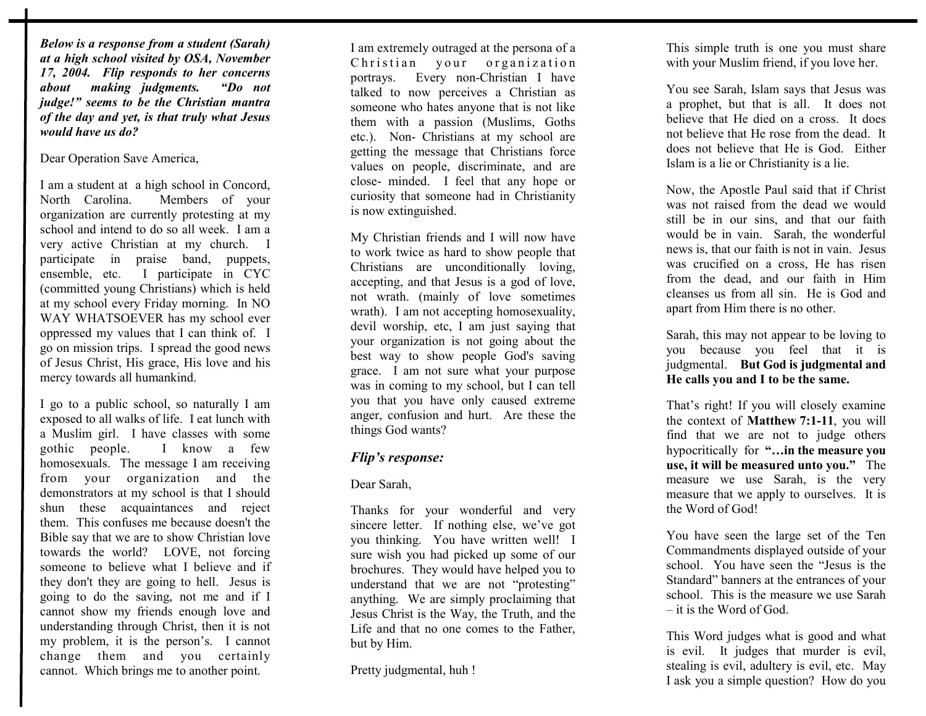*Below is a response from a student (Sarah) at a high school visited by OSA, November 17, 2004. Flip responds to her concerns about making judgments. "Do not judge!" seems to be the Christian mantra of the day and yet, is that truly what Jesus would have us do?* 

Dear Operation Save America,

I am a student at a high school in Concord, North Carolina. Members of your organization are currently protesting at my school and intend to do so all week. I am a very active Christian at my church. I participate in praise band, puppets, ensemble, etc. I participate in CYC (committed young Christians) which is held at my school every Friday morning. In NO WAY WHATSOEVER has my school ever oppressed my values that I can think of. I go on mission trips. I spread the good news of Jesus Christ, His grace, His love and his mercy towards all humankind.

I go to a public school, so naturally I am exposed to all walks of life. I eat lunch with a Muslim girl. I have classes with some gothic people. I know a few homosexuals. The message I am receiving from your organization and the demonstrators at my school is that I should shun these acquaintances and reject them. This confuses me because doesn't the Bible say that we are to show Christian love towards the world? LOVE, not forcing someone to believe what I believe and if they don't they are going to hell. Jesus is going to do the saving, not me and if I cannot show my friends enough love and understanding through Christ, then it is not my problem, it is the person's. I cannot change them and you certainly cannot. Which brings me to another point.

I am extremely outraged at the persona of a Christian your organization portrays. Every non-Christian I have talked to now perceives a Christian as someone who hates anyone that is not like them with a passion (Muslims, Goths etc.). Non- Christians at my school are getting the message that Christians force values on people, discriminate, and are close- minded. I feel that any hope or curiosity that someone had in Christianity is now extinguished.

My Christian friends and I will now have to work twice as hard to show people that Christians are unconditionally loving, accepting, and that Jesus is a god of love, not wrath. (mainly of love sometimes wrath). I am not accepting homosexuality, devil worship, etc, I am just saying that your organization is not going about the best way to show people God's saving grace. I am not sure what your purpose was in coming to my school, but I can tell you that you have only caused extreme anger, confusion and hurt. Are these the things God wants?

## *Flip's response:*

## Dear Sarah,

Thanks for your wonderful and very sincere letter. If nothing else, we've got you thinking. You have written well! I sure wish you had picked up some of our brochures. They would have helped you to understand that we are not "protesting" anything. We are simply proclaiming that Jesus Christ is the Way, the Truth, and the Life and that no one comes to the Father, but by Him.

Pretty judgmental, huh !

This simple truth is one you must share with your Muslim friend, if you love her.

You see Sarah, Islam says that Jesus was a prophet, but that is all. It does not believe that He died on a cross. It does not believe that He rose from the dead. It does not believe that He is God. Either Islam is a lie or Christianity is a lie.

Now, the Apostle Paul said that if Christ was not raised from the dead we would still be in our sins, and that our faith would be in vain. Sarah, the wonderful news is, that our faith is not in vain. Jesus was crucified on a cross, He has risen from the dead, and our faith in Him cleanses us from all sin. He is God and apart from Him there is no other.

Sarah, this may not appear to be loving to you because you feel that it is judgmental. **But God is judgmental and He calls you and I to be the same.** 

That's right! If you will closely examine the context of **Matthew 7:1-11**, you will find that we are not to judge others hypocritically for **"…in the measure you use, it will be measured unto you."** The measure we use Sarah, is the very measure that we apply to ourselves. It is the Word of God!

You have seen the large set of the Ten Commandments displayed outside of your school. You have seen the "Jesus is the Standard" banners at the entrances of your school. This is the measure we use Sarah – it is the Word of God.

This Word judges what is good and what is evil. It judges that murder is evil, stealing is evil, adultery is evil, etc. May I ask you a simple question? How do you